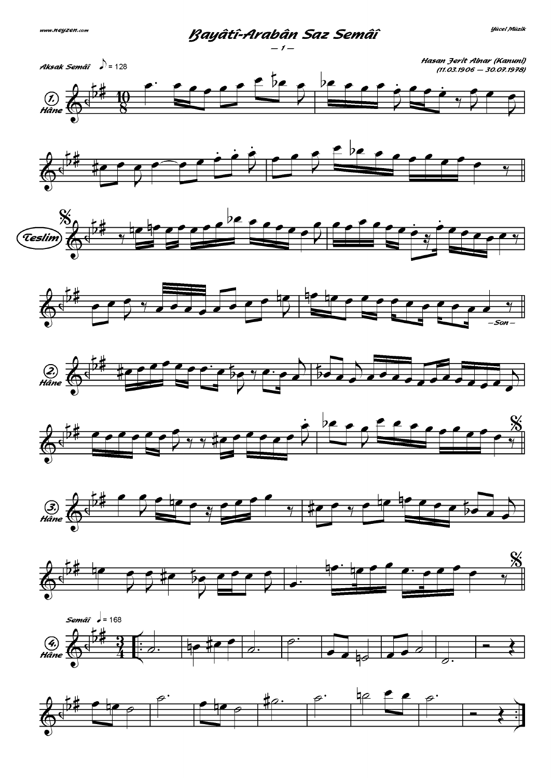

Rauâtî-Arabân Saz Semâî